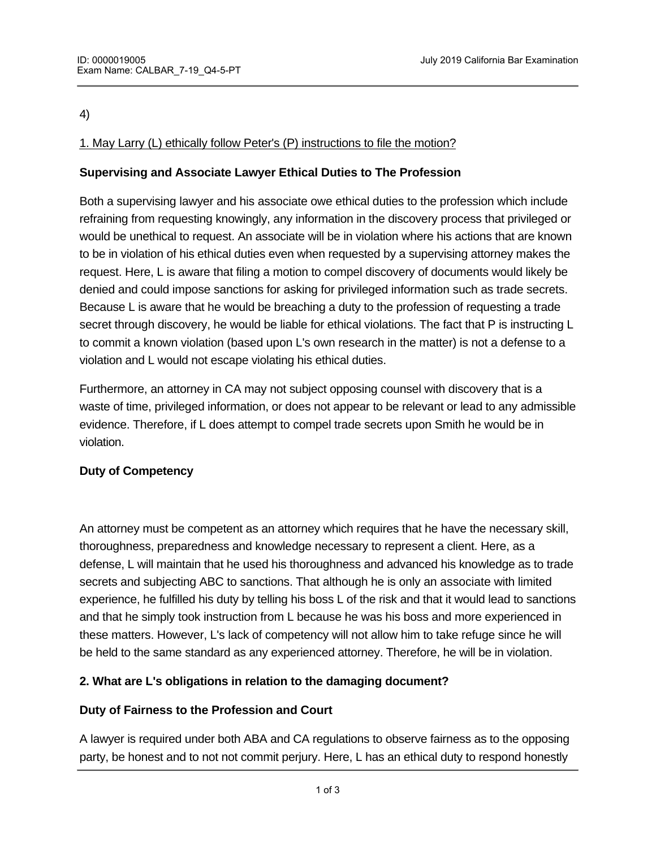#### 4)

# 1. May Larry (L) ethically follow Peter's (P) instructions to file the motion?

# **Supervising and Associate Lawyer Ethical Duties to The Profession**

Both a supervising lawyer and his associate owe ethical duties to the profession which include refraining from requesting knowingly, any information in the discovery process that privileged or would be unethical to request. An associate will be in violation where his actions that are known to be in violation of his ethical duties even when requested by a supervising attorney makes the request. Here, L is aware that filing a motion to compel discovery of documents would likely be denied and could impose sanctions for asking for privileged information such as trade secrets. Because L is aware that he would be breaching a duty to the profession of requesting a trade secret through discovery, he would be liable for ethical violations. The fact that P is instructing L to commit a known violation (based upon L's own research in the matter) is not a defense to a violation and L would not escape violating his ethical duties.

Furthermore, an attorney in CA may not subject opposing counsel with discovery that is a waste of time, privileged information, or does not appear to be relevant or lead to any admissible evidence. Therefore, if L does attempt to compel trade secrets upon Smith he would be in violation.

### **Duty of Competency**

An attorney must be competent as an attorney which requires that he have the necessary skill, thoroughness, preparedness and knowledge necessary to represent a client. Here, as a defense, L will maintain that he used his thoroughness and advanced his knowledge as to trade secrets and subjecting ABC to sanctions. That although he is only an associate with limited experience, he fulfilled his duty by telling his boss L of the risk and that it would lead to sanctions and that he simply took instruction from L because he was his boss and more experienced in these matters. However, L's lack of competency will not allow him to take refuge since he will be held to the same standard as any experienced attorney. Therefore, he will be in violation.

### **2. What are L's obligations in relation to the damaging document?**

### **Duty of Fairness to the Profession and Court**

A lawyer is required under both ABA and CA regulations to observe fairness as to the opposing party, be honest and to not not commit perjury. Here, L has an ethical duty to respond honestly

with XYZ's requested if such documentation requested is excluded in nature. The such documentation requested i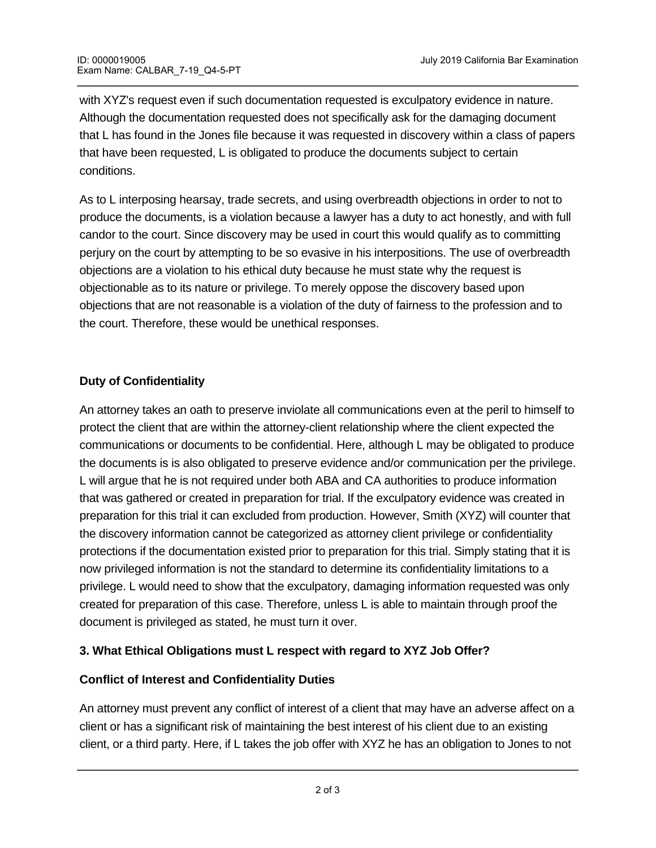with XYZ's request even if such documentation requested is exculpatory evidence in nature. Although the documentation requested does not specifically ask for the damaging document that L has found in the Jones file because it was requested in discovery within a class of papers that have been requested, L is obligated to produce the documents subject to certain conditions.

As to L interposing hearsay, trade secrets, and using overbreadth objections in order to not to produce the documents, is a violation because a lawyer has a duty to act honestly, and with full candor to the court. Since discovery may be used in court this would qualify as to committing perjury on the court by attempting to be so evasive in his interpositions. The use of overbreadth objections are a violation to his ethical duty because he must state why the request is objectionable as to its nature or privilege. To merely oppose the discovery based upon objections that are not reasonable is a violation of the duty of fairness to the profession and to the court. Therefore, these would be unethical responses.

### **Duty of Confidentiality**

An attorney takes an oath to preserve inviolate all communications even at the peril to himself to protect the client that are within the attorney-client relationship where the client expected the communications or documents to be confidential. Here, although L may be obligated to produce the documents is is also obligated to preserve evidence and/or communication per the privilege. L will argue that he is not required under both ABA and CA authorities to produce information that was gathered or created in preparation for trial. If the exculpatory evidence was created in preparation for this trial it can excluded from production. However, Smith (XYZ) will counter that the discovery information cannot be categorized as attorney client privilege or confidentiality protections if the documentation existed prior to preparation for this trial. Simply stating that it is now privileged information is not the standard to determine its confidentiality limitations to a privilege. L would need to show that the exculpatory, damaging information requested was only created for preparation of this case. Therefore, unless L is able to maintain through proof the document is privileged as stated, he must turn it over.

# **3. What Ethical Obligations must L respect with regard to XYZ Job Offer?**

### **Conflict of Interest and Confidentiality Duties**

An attorney must prevent any conflict of interest of a client that may have an adverse affect on a client or has a significant risk of maintaining the best interest of his client due to an existing client, or a third party. Here, if L takes the job offer with XYZ he has an obligation to Jones to not